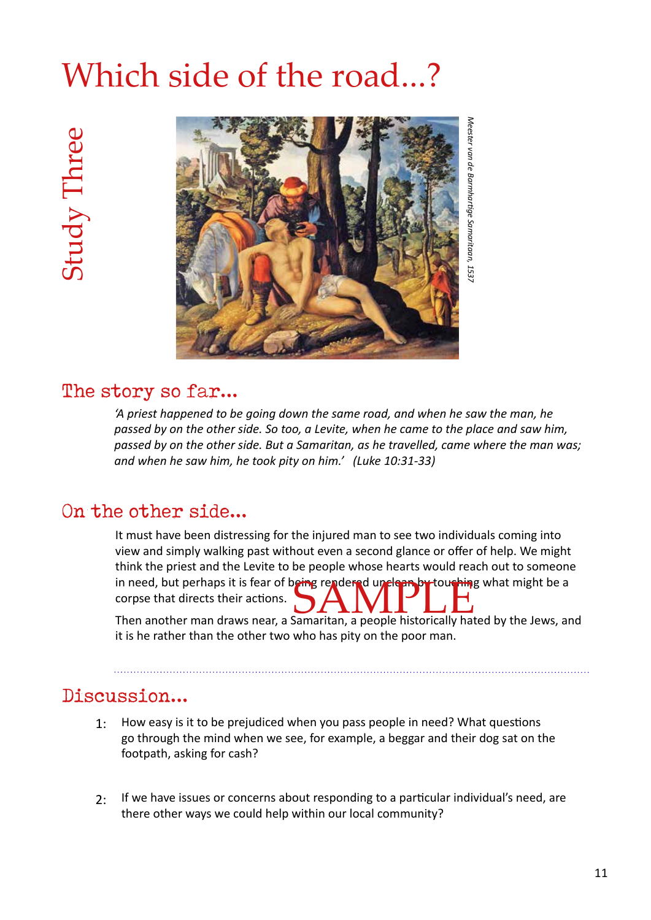# Which side of the road...?



#### The story so far...

*'A priest happened to be going down the same road, and when he saw the man, he passed by on the other side. So too, a Levite, when he came to the place and saw him, passed by on the other side. But a Samaritan, as he travelled, came where the man was; and when he saw him, he took pity on him.' (Luke 10:31-33)*

It must have been distressing for the injured man to see two individuals coming into view and simply walking past without even a second glance or offer of help. We might think the priest and the Levite to be people whose hearts would reach out to someone in need, but perhaps it is fear of being rendered unclean by touching what might be a<br>corpse that directs their actions.<br>Then another man draws near, a Samaritan, a people historically hated by the lews, and corpse that directs their actions.

Then another man draws near, a Samaritan, a people historically hated by the Jews, and it is he rather than the other two who has pity on the poor man.

## Discussion...

- How easy is it to be prejudiced when you pass people in need? What questions go through the mind when we see, for example, a beggar and their dog sat on the footpath, asking for cash? 1:
- If we have issues or concerns about responding to a particular individual's need, are there other ways we could help within our local community?  $2:$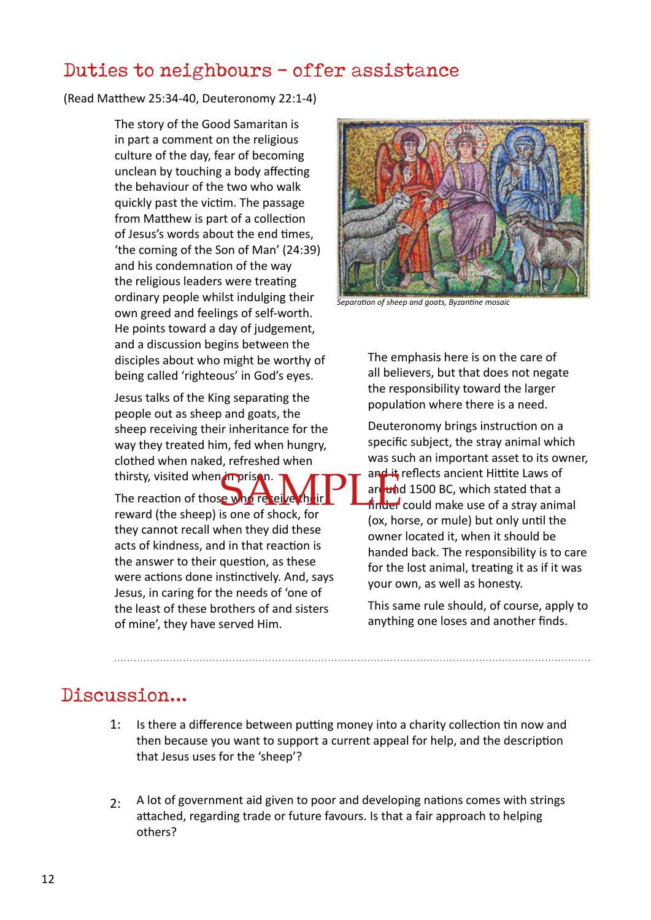# Duties to neighbours - offer assistance

#### (Read Matthew 25:34-40, Deuteronomy 22:1-4)

The story of the Good Samaritan is in part a comment on the religious culture of the day, fear of becoming unclean by touching a body affecting the behaviour of the two who walk quickly past the victim. The passage from Matthew is part of a collection of Jesus's words about the end times, 'the coming of the Son of Man' (24:39) and his condemnation of the way the religious leaders were treating ordinary people whilst indulging their own greed and feelings of self-worth. He points toward a day of judgement, and a discussion begins between the disciples about who might be worthy of being called 'righteous' in God's eyes.

Jesus talks of the King separating the people out as sheep and goats, the sheep receiving their inheritance for the way they treated him, fed when hungry, clothed when naked, refreshed when thirsty, visited when in prison.

The reaction of those who receive their reward (the sheep) is one of shock, for they cannot recall when they did these acts of kindness, and in that reaction is the answer to their question, as these were actions done instinctively. And, says Jesus, in caring for the needs of 'one of the least of these brothers of and sisters of mine', they have served Him. E who religion in Plantit



*Separation of sheep and goats, Byzantine mosaic*

The emphasis here is on the care of all believers, but that does not negate the responsibility toward the larger population where there is a need.

Deuteronomy brings instruction on a specific subject, the stray animal which was such an important asset to its owner, and it reflects ancient Hittite Laws of around 1500 BC, which stated that a finder could make use of a stray animal (ox, horse, or mule) but only until the owner located it, when it should be handed back. The responsibility is to care for the lost animal, treating it as if it was your own, as well as honesty.

This same rule should, of course, apply to anything one loses and another finds.

# Discussion...

- Is there a difference between putting money into a charity collection tin now and then because you want to support a current appeal for help, and the description that Jesus uses for the 'sheep'? 1:
- A lot of government aid given to poor and developing nations comes with strings attached, regarding trade or future favours. Is that a fair approach to helping others? 2: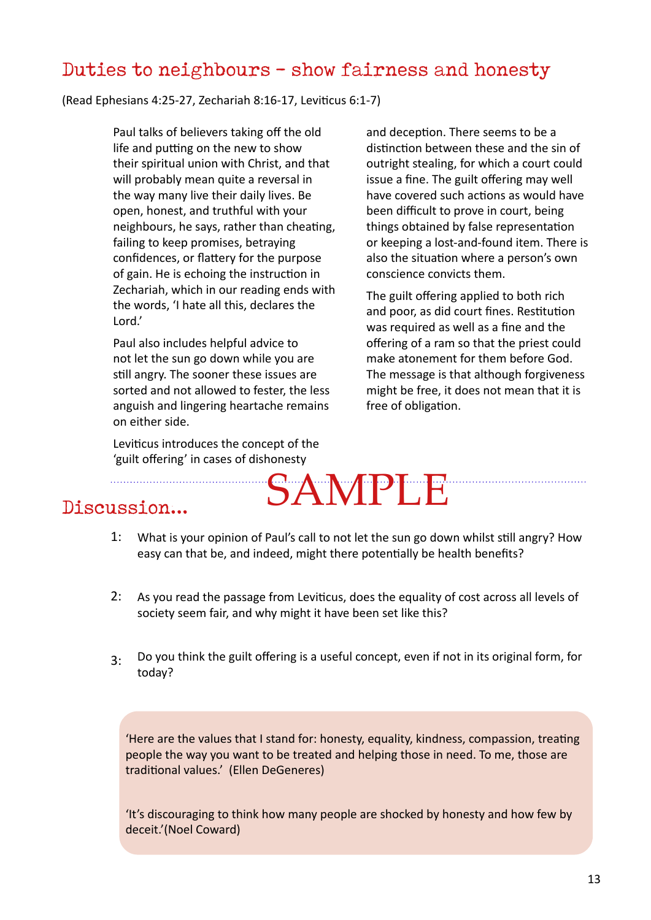# Duties to neighbours - show fairness and honesty

(Read Ephesians 4:25-27, Zechariah 8:16-17, Leviticus 6:1-7)

Paul talks of believers taking off the old life and putting on the new to show their spiritual union with Christ, and that will probably mean quite a reversal in the way many live their daily lives. Be open, honest, and truthful with your neighbours, he says, rather than cheating, failing to keep promises, betraying confidences, or flattery for the purpose of gain. He is echoing the instruction in Zechariah, which in our reading ends with the words, 'I hate all this, declares the Lord.'

Paul also includes helpful advice to not let the sun go down while you are still angry. The sooner these issues are sorted and not allowed to fester, the less anguish and lingering heartache remains on either side.

Leviticus introduces the concept of the 'guilt offering' in cases of dishonesty

and deception. There seems to be a distinction between these and the sin of outright stealing, for which a court could issue a fine. The guilt offering may well have covered such actions as would have been difficult to prove in court, being things obtained by false representation or keeping a lost-and-found item. There is also the situation where a person's own conscience convicts them.

The guilt offering applied to both rich and poor, as did court fines. Restitution was required as well as a fine and the offering of a ram so that the priest could make atonement for them before God. The message is that although forgiveness might be free, it does not mean that it is free of obligation.

### Discussion...

What is your opinion of Paul's call to not let the sun go down whilst still angry? How easy can that be, and indeed, might there potentially be health benefits? 1:

**SAMPLE** 

- As you read the passage from Leviticus, does the equality of cost across all levels of society seem fair, and why might it have been set like this?  $2:$
- Do you think the guilt offering is a useful concept, even if not in its original form, for today? 3:

'Here are the values that I stand for: honesty, equality, kindness, compassion, treating people the way you want to be treated and helping those in need. To me, those are traditional values.' (Ellen DeGeneres)

'It's discouraging to think how many people are shocked by honesty and how few by deceit.'(Noel Coward)